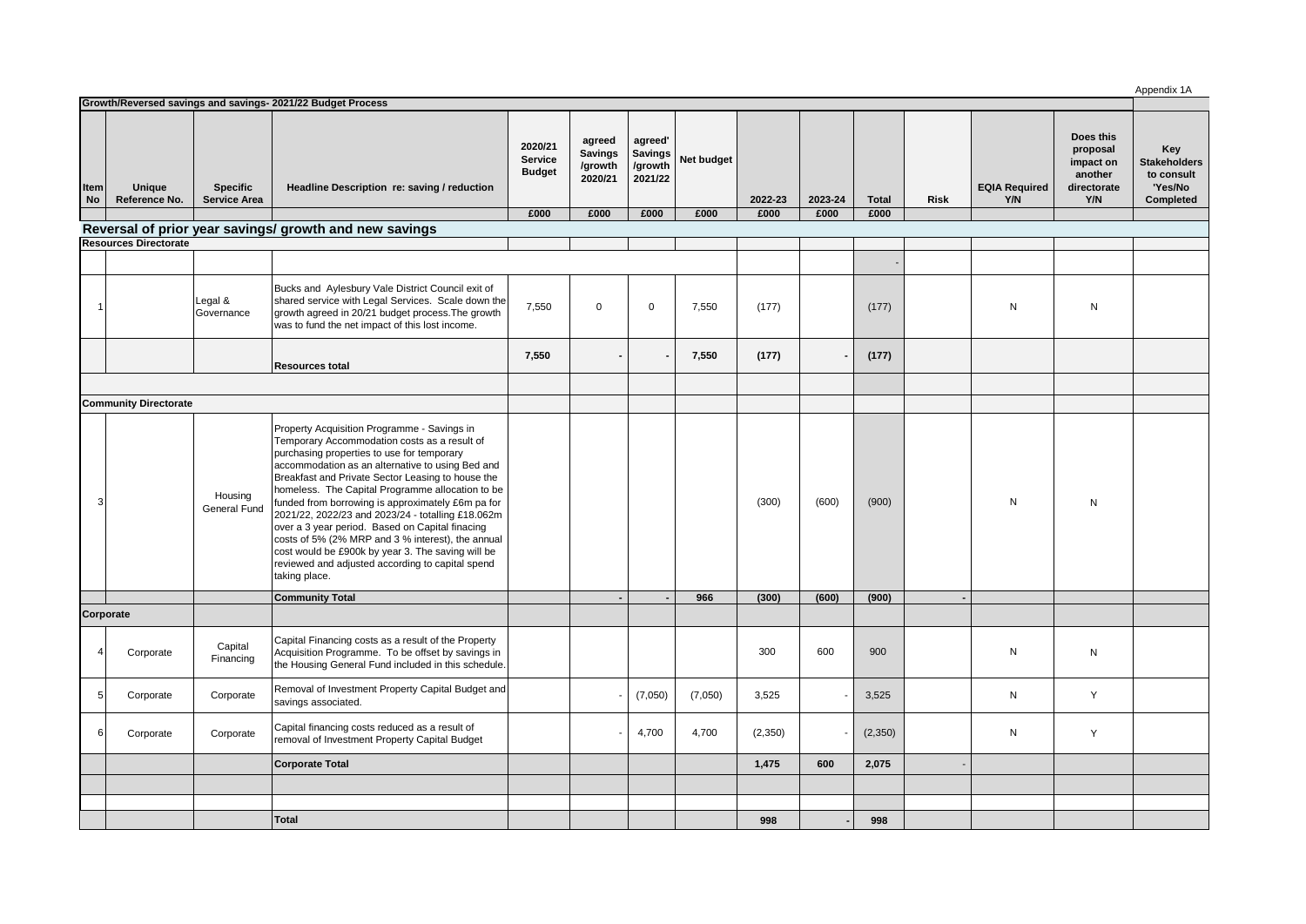| Growth/Reversed savings and savings- 2021/22 Budget Process |                         |                                        |                                                                                                                                                                                                                                                                                                                                                                                                                                                                                                                                                                                                                                                    |                                            |                                                |                                                 |            |         |         |              | Appendix 1A |                             |                                                                     |                                                                  |
|-------------------------------------------------------------|-------------------------|----------------------------------------|----------------------------------------------------------------------------------------------------------------------------------------------------------------------------------------------------------------------------------------------------------------------------------------------------------------------------------------------------------------------------------------------------------------------------------------------------------------------------------------------------------------------------------------------------------------------------------------------------------------------------------------------------|--------------------------------------------|------------------------------------------------|-------------------------------------------------|------------|---------|---------|--------------|-------------|-----------------------------|---------------------------------------------------------------------|------------------------------------------------------------------|
|                                                             |                         |                                        |                                                                                                                                                                                                                                                                                                                                                                                                                                                                                                                                                                                                                                                    |                                            |                                                |                                                 |            |         |         |              |             |                             |                                                                     |                                                                  |
| Item<br>No                                                  | Unique<br>Reference No. | <b>Specific</b><br><b>Service Area</b> | Headline Description re: saving / reduction                                                                                                                                                                                                                                                                                                                                                                                                                                                                                                                                                                                                        | 2020/21<br><b>Service</b><br><b>Budget</b> | agreed<br><b>Savings</b><br>/growth<br>2020/21 | agreed'<br><b>Savings</b><br>/growth<br>2021/22 | Net budget | 2022-23 | 2023-24 | <b>Total</b> | <b>Risk</b> | <b>EQIA Required</b><br>Y/N | Does this<br>proposal<br>impact on<br>another<br>directorate<br>Y/N | Key<br><b>Stakeholders</b><br>to consult<br>'Yes/No<br>Completed |
|                                                             |                         |                                        |                                                                                                                                                                                                                                                                                                                                                                                                                                                                                                                                                                                                                                                    | £000                                       | £000                                           | £000                                            | £000       | £000    | £000    | £000         |             |                             |                                                                     |                                                                  |
| Reversal of prior year savings/ growth and new savings      |                         |                                        |                                                                                                                                                                                                                                                                                                                                                                                                                                                                                                                                                                                                                                                    |                                            |                                                |                                                 |            |         |         |              |             |                             |                                                                     |                                                                  |
| <b>Resources Directorate</b>                                |                         |                                        |                                                                                                                                                                                                                                                                                                                                                                                                                                                                                                                                                                                                                                                    |                                            |                                                |                                                 |            |         |         |              |             |                             |                                                                     |                                                                  |
|                                                             |                         |                                        |                                                                                                                                                                                                                                                                                                                                                                                                                                                                                                                                                                                                                                                    |                                            |                                                |                                                 |            |         |         |              |             |                             |                                                                     |                                                                  |
|                                                             |                         | Legal &<br>Governance                  | Bucks and Aylesbury Vale District Council exit of<br>shared service with Legal Services. Scale down the<br>growth agreed in 20/21 budget process. The growth<br>was to fund the net impact of this lost income.                                                                                                                                                                                                                                                                                                                                                                                                                                    | 7,550                                      | $\mathbf 0$                                    | $\mathbf 0$                                     | 7,550      | (177)   |         | (177)        |             | N                           | N                                                                   |                                                                  |
|                                                             |                         |                                        | <b>Resources total</b>                                                                                                                                                                                                                                                                                                                                                                                                                                                                                                                                                                                                                             | 7,550                                      |                                                |                                                 | 7,550      | (177)   |         | (177)        |             |                             |                                                                     |                                                                  |
|                                                             |                         |                                        |                                                                                                                                                                                                                                                                                                                                                                                                                                                                                                                                                                                                                                                    |                                            |                                                |                                                 |            |         |         |              |             |                             |                                                                     |                                                                  |
| <b>Community Directorate</b>                                |                         |                                        |                                                                                                                                                                                                                                                                                                                                                                                                                                                                                                                                                                                                                                                    |                                            |                                                |                                                 |            |         |         |              |             |                             |                                                                     |                                                                  |
|                                                             |                         | Housing<br>General Fund                | Property Acquisition Programme - Savings in<br>Temporary Accommodation costs as a result of<br>purchasing properties to use for temporary<br>accommodation as an alternative to using Bed and<br>Breakfast and Private Sector Leasing to house the<br>homeless. The Capital Programme allocation to be<br>funded from borrowing is approximately £6m pa for<br>2021/22, 2022/23 and 2023/24 - totalling £18.062m<br>over a 3 year period. Based on Capital finacing<br>costs of 5% (2% MRP and 3 % interest), the annual<br>cost would be £900k by year 3. The saving will be<br>reviewed and adjusted according to capital spend<br>taking place. |                                            |                                                |                                                 |            | (300)   | (600)   | (900)        |             | N                           | N                                                                   |                                                                  |
|                                                             |                         |                                        | <b>Community Total</b>                                                                                                                                                                                                                                                                                                                                                                                                                                                                                                                                                                                                                             |                                            |                                                |                                                 | 966        | (300)   | (600)   | (900)        |             |                             |                                                                     |                                                                  |
| Corporate                                                   |                         |                                        |                                                                                                                                                                                                                                                                                                                                                                                                                                                                                                                                                                                                                                                    |                                            |                                                |                                                 |            |         |         |              |             |                             |                                                                     |                                                                  |
|                                                             | Corporate               | Capital<br>Financing                   | Capital Financing costs as a result of the Property<br>Acquisition Programme. To be offset by savings in<br>the Housing General Fund included in this schedule.                                                                                                                                                                                                                                                                                                                                                                                                                                                                                    |                                            |                                                |                                                 |            | 300     | 600     | 900          |             | N                           | N                                                                   |                                                                  |
| 5                                                           | Corporate               | Corporate                              | Removal of Investment Property Capital Budget and<br>savings associated.                                                                                                                                                                                                                                                                                                                                                                                                                                                                                                                                                                           |                                            |                                                | (7,050)                                         | (7,050)    | 3,525   |         | 3,525        |             | N                           | Y                                                                   |                                                                  |
| 6                                                           | Corporate               | Corporate                              | Capital financing costs reduced as a result of<br>removal of Investment Property Capital Budget                                                                                                                                                                                                                                                                                                                                                                                                                                                                                                                                                    |                                            |                                                | 4,700                                           | 4,700      | (2,350) |         | (2, 350)     |             | ${\sf N}$                   | Y                                                                   |                                                                  |
|                                                             |                         |                                        | <b>Corporate Total</b>                                                                                                                                                                                                                                                                                                                                                                                                                                                                                                                                                                                                                             |                                            |                                                |                                                 |            | 1,475   | 600     | 2,075        |             |                             |                                                                     |                                                                  |
|                                                             |                         |                                        |                                                                                                                                                                                                                                                                                                                                                                                                                                                                                                                                                                                                                                                    |                                            |                                                |                                                 |            |         |         |              |             |                             |                                                                     |                                                                  |
|                                                             |                         |                                        |                                                                                                                                                                                                                                                                                                                                                                                                                                                                                                                                                                                                                                                    |                                            |                                                |                                                 |            |         |         |              |             |                             |                                                                     |                                                                  |
|                                                             |                         |                                        | <b>Total</b>                                                                                                                                                                                                                                                                                                                                                                                                                                                                                                                                                                                                                                       |                                            |                                                |                                                 |            | 998     |         | 998          |             |                             |                                                                     |                                                                  |
|                                                             |                         |                                        |                                                                                                                                                                                                                                                                                                                                                                                                                                                                                                                                                                                                                                                    |                                            |                                                |                                                 |            |         |         |              |             |                             |                                                                     |                                                                  |